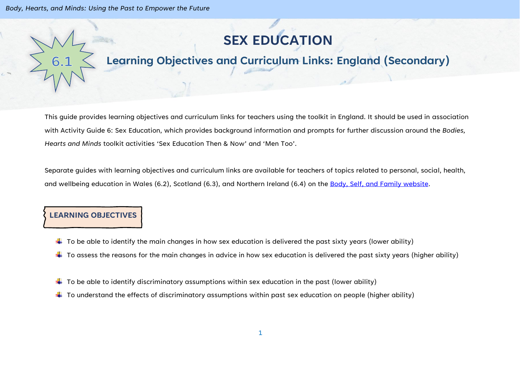*Body, Hearts, and Minds: Using the Past to Empower the Future*

# **SEX EDUCATION**

## **Learning Objectives and Curriculum Links: England (Secondary)**

This guide provides learning objectives and curriculum links for teachers using the toolkit in England. It should be used in association with Activity Guide 6: Sex Education, which provides background information and prompts for further discussion around the *Bodies, Hearts and Minds* toolkit activities 'Sex Education Then & Now' and 'Men Too'.

Separate guides with learning objectives and curriculum links are available for teachers of topics related to personal, social, health, and wellbeing education in Wales (6.2), Scotland (6.3), and Northern Ireland (6.4) on the [Body, Self, and Family website.](https://bodyselffamily.org/)

#### **LEARNING OBJECTIVES**

- $\ddotplus$  To be able to identify the main changes in how sex education is delivered the past sixty years (lower ability)
- $\ddotplus$  To assess the reasons for the main changes in advice in how sex education is delivered the past sixty years (higher ability)
- $\downarrow$  To be able to identify discriminatory assumptions within sex education in the past (lower ability)
- $\ddotplus$  To understand the effects of discriminatory assumptions within past sex education on people (higher ability)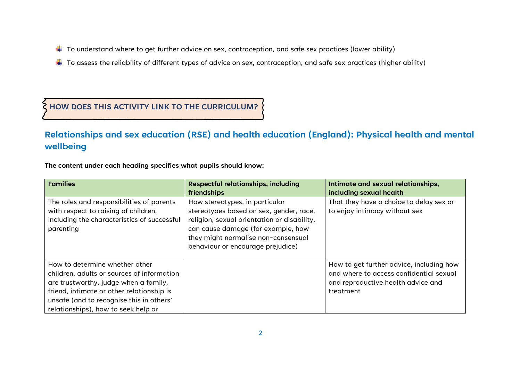- $\ddotplus$  To understand where to get further advice on sex, contraception, and safe sex practices (lower ability)
- $\ddotplus$  To assess the reliability of different types of advice on sex, contraception, and safe sex practices (higher ability)

#### **HOW DOES THIS ACTIVITY LINK TO THE CURRICULUM?**

### **Relationships and sex education (RSE) and health education (England): Physical health and mental wellbeing**

**The content under each heading specifies what pupils should know:**

| <b>Families</b>                                                                                                                                                                                                                                       | <b>Respectful relationships, including</b><br>friendships                                                                                                                                                                                  | Intimate and sexual relationships,<br>including sexual health                                                                          |
|-------------------------------------------------------------------------------------------------------------------------------------------------------------------------------------------------------------------------------------------------------|--------------------------------------------------------------------------------------------------------------------------------------------------------------------------------------------------------------------------------------------|----------------------------------------------------------------------------------------------------------------------------------------|
| The roles and responsibilities of parents<br>with respect to raising of children,<br>including the characteristics of successful<br>parenting                                                                                                         | How stereotypes, in particular<br>stereotypes based on sex, gender, race,<br>religion, sexual orientation or disability,<br>can cause damage (for example, how<br>they might normalise non-consensual<br>behaviour or encourage prejudice) | That they have a choice to delay sex or<br>to enjoy intimacy without sex                                                               |
| How to determine whether other<br>children, adults or sources of information<br>are trustworthy, judge when a family,<br>friend, intimate or other relationship is<br>unsafe (and to recognise this in others'<br>relationships), how to seek help or |                                                                                                                                                                                                                                            | How to get further advice, including how<br>and where to access confidential sexual<br>and reproductive health advice and<br>treatment |